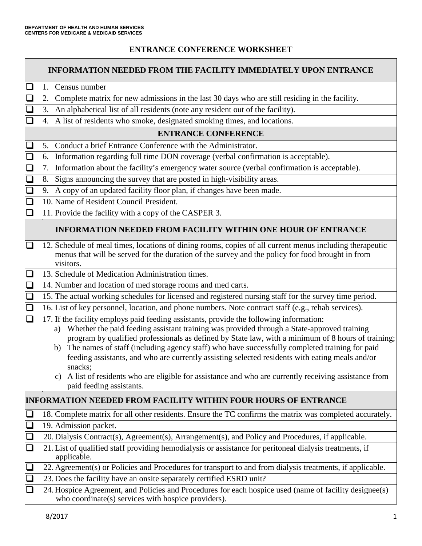### **ENTRANCE CONFERENCE WORKSHEET**

|        | <b>INFORMATION NEEDED FROM THE FACILITY IMMEDIATELY UPON ENTRANCE</b> |                                                                                                                                                                                                                                                                                                                                                                                                                                                                                                                                                                                                                                                           |  |  |  |  |  |
|--------|-----------------------------------------------------------------------|-----------------------------------------------------------------------------------------------------------------------------------------------------------------------------------------------------------------------------------------------------------------------------------------------------------------------------------------------------------------------------------------------------------------------------------------------------------------------------------------------------------------------------------------------------------------------------------------------------------------------------------------------------------|--|--|--|--|--|
|        |                                                                       | 1. Census number                                                                                                                                                                                                                                                                                                                                                                                                                                                                                                                                                                                                                                          |  |  |  |  |  |
|        | 2.                                                                    | Complete matrix for new admissions in the last 30 days who are still residing in the facility.                                                                                                                                                                                                                                                                                                                                                                                                                                                                                                                                                            |  |  |  |  |  |
|        | 3.                                                                    | An alphabetical list of all residents (note any resident out of the facility).                                                                                                                                                                                                                                                                                                                                                                                                                                                                                                                                                                            |  |  |  |  |  |
|        | 4.                                                                    | A list of residents who smoke, designated smoking times, and locations.                                                                                                                                                                                                                                                                                                                                                                                                                                                                                                                                                                                   |  |  |  |  |  |
|        | <b>ENTRANCE CONFERENCE</b>                                            |                                                                                                                                                                                                                                                                                                                                                                                                                                                                                                                                                                                                                                                           |  |  |  |  |  |
|        | 5.                                                                    | Conduct a brief Entrance Conference with the Administrator.                                                                                                                                                                                                                                                                                                                                                                                                                                                                                                                                                                                               |  |  |  |  |  |
|        | 6.                                                                    | Information regarding full time DON coverage (verbal confirmation is acceptable).                                                                                                                                                                                                                                                                                                                                                                                                                                                                                                                                                                         |  |  |  |  |  |
|        | 7.                                                                    | Information about the facility's emergency water source (verbal confirmation is acceptable).                                                                                                                                                                                                                                                                                                                                                                                                                                                                                                                                                              |  |  |  |  |  |
|        | 8.                                                                    | Signs announcing the survey that are posted in high-visibility areas.                                                                                                                                                                                                                                                                                                                                                                                                                                                                                                                                                                                     |  |  |  |  |  |
|        | 9.                                                                    | A copy of an updated facility floor plan, if changes have been made.                                                                                                                                                                                                                                                                                                                                                                                                                                                                                                                                                                                      |  |  |  |  |  |
|        |                                                                       | 10. Name of Resident Council President.                                                                                                                                                                                                                                                                                                                                                                                                                                                                                                                                                                                                                   |  |  |  |  |  |
|        |                                                                       | 11. Provide the facility with a copy of the CASPER 3.                                                                                                                                                                                                                                                                                                                                                                                                                                                                                                                                                                                                     |  |  |  |  |  |
|        | <b>INFORMATION NEEDED FROM FACILITY WITHIN ONE HOUR OF ENTRANCE</b>   |                                                                                                                                                                                                                                                                                                                                                                                                                                                                                                                                                                                                                                                           |  |  |  |  |  |
|        |                                                                       | 12. Schedule of meal times, locations of dining rooms, copies of all current menus including therapeutic<br>menus that will be served for the duration of the survey and the policy for food brought in from<br>visitors.                                                                                                                                                                                                                                                                                                                                                                                                                                 |  |  |  |  |  |
|        |                                                                       | 13. Schedule of Medication Administration times.                                                                                                                                                                                                                                                                                                                                                                                                                                                                                                                                                                                                          |  |  |  |  |  |
| $\Box$ |                                                                       | 14. Number and location of med storage rooms and med carts.                                                                                                                                                                                                                                                                                                                                                                                                                                                                                                                                                                                               |  |  |  |  |  |
| $\Box$ |                                                                       | 15. The actual working schedules for licensed and registered nursing staff for the survey time period.                                                                                                                                                                                                                                                                                                                                                                                                                                                                                                                                                    |  |  |  |  |  |
|        |                                                                       | 16. List of key personnel, location, and phone numbers. Note contract staff (e.g., rehab services).                                                                                                                                                                                                                                                                                                                                                                                                                                                                                                                                                       |  |  |  |  |  |
|        |                                                                       | 17. If the facility employs paid feeding assistants, provide the following information:<br>Whether the paid feeding assistant training was provided through a State-approved training<br>a)<br>program by qualified professionals as defined by State law, with a minimum of 8 hours of training;<br>b) The names of staff (including agency staff) who have successfully completed training for paid<br>feeding assistants, and who are currently assisting selected residents with eating meals and/or<br>snacks:<br>c) A list of residents who are eligible for assistance and who are currently receiving assistance from<br>paid feeding assistants. |  |  |  |  |  |
|        |                                                                       | <b>INFORMATION NEEDED FROM FACILITY WITHIN FOUR HOURS OF ENTRANCE</b>                                                                                                                                                                                                                                                                                                                                                                                                                                                                                                                                                                                     |  |  |  |  |  |
|        |                                                                       | 18. Complete matrix for all other residents. Ensure the TC confirms the matrix was completed accurately.                                                                                                                                                                                                                                                                                                                                                                                                                                                                                                                                                  |  |  |  |  |  |
|        |                                                                       | 19. Admission packet.                                                                                                                                                                                                                                                                                                                                                                                                                                                                                                                                                                                                                                     |  |  |  |  |  |
|        |                                                                       | 20. Dialysis Contract(s), Agreement(s), Arrangement(s), and Policy and Procedures, if applicable.                                                                                                                                                                                                                                                                                                                                                                                                                                                                                                                                                         |  |  |  |  |  |
|        |                                                                       | 21. List of qualified staff providing hemodialysis or assistance for peritoneal dialysis treatments, if<br>applicable.                                                                                                                                                                                                                                                                                                                                                                                                                                                                                                                                    |  |  |  |  |  |
|        |                                                                       | 22. Agreement(s) or Policies and Procedures for transport to and from dialysis treatments, if applicable.                                                                                                                                                                                                                                                                                                                                                                                                                                                                                                                                                 |  |  |  |  |  |
|        |                                                                       | 23. Does the facility have an onsite separately certified ESRD unit?                                                                                                                                                                                                                                                                                                                                                                                                                                                                                                                                                                                      |  |  |  |  |  |
|        |                                                                       | 24. Hospice Agreement, and Policies and Procedures for each hospice used (name of facility designee(s)<br>who coordinate(s) services with hospice providers).                                                                                                                                                                                                                                                                                                                                                                                                                                                                                             |  |  |  |  |  |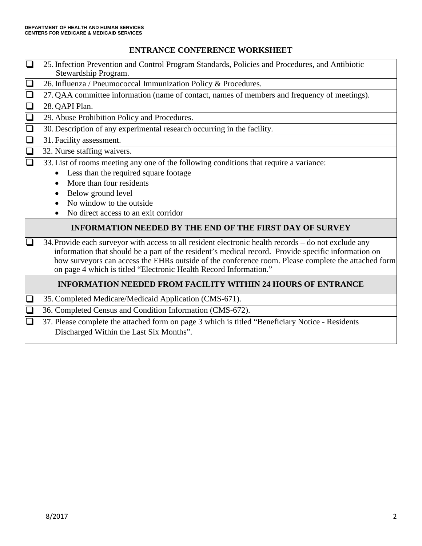## **ENTRANCE CONFERENCE WORKSHEET**

|        | 25. Infection Prevention and Control Program Standards, Policies and Procedures, and Antibiotic<br>Stewardship Program.                                                                                                                                                                                                                                                                 |  |  |  |
|--------|-----------------------------------------------------------------------------------------------------------------------------------------------------------------------------------------------------------------------------------------------------------------------------------------------------------------------------------------------------------------------------------------|--|--|--|
|        | 26. Influenza / Pneumococcal Immunization Policy & Procedures.                                                                                                                                                                                                                                                                                                                          |  |  |  |
|        | 27. QAA committee information (name of contact, names of members and frequency of meetings).                                                                                                                                                                                                                                                                                            |  |  |  |
|        | 28. QAPI Plan.                                                                                                                                                                                                                                                                                                                                                                          |  |  |  |
| $\Box$ | 29. Abuse Prohibition Policy and Procedures.                                                                                                                                                                                                                                                                                                                                            |  |  |  |
| $\Box$ | 30. Description of any experimental research occurring in the facility.                                                                                                                                                                                                                                                                                                                 |  |  |  |
| $\Box$ | 31. Facility assessment.                                                                                                                                                                                                                                                                                                                                                                |  |  |  |
| $\Box$ | 32. Nurse staffing waivers.                                                                                                                                                                                                                                                                                                                                                             |  |  |  |
| $\Box$ | 33. List of rooms meeting any one of the following conditions that require a variance:<br>Less than the required square footage<br>$\bullet$<br>More than four residents<br>Below ground level<br>No window to the outside.<br>No direct access to an exit corridor                                                                                                                     |  |  |  |
|        | <b>INFORMATION NEEDED BY THE END OF THE FIRST DAY OF SURVEY</b>                                                                                                                                                                                                                                                                                                                         |  |  |  |
|        | 34. Provide each surveyor with access to all resident electronic health records - do not exclude any<br>information that should be a part of the resident's medical record. Provide specific information on<br>how surveyors can access the EHRs outside of the conference room. Please complete the attached form<br>on page 4 which is titled "Electronic Health Record Information." |  |  |  |
|        | <b>INFORMATION NEEDED FROM FACILITY WITHIN 24 HOURS OF ENTRANCE</b>                                                                                                                                                                                                                                                                                                                     |  |  |  |
|        | 35. Completed Medicare/Medicaid Application (CMS-671).                                                                                                                                                                                                                                                                                                                                  |  |  |  |
|        | 36. Completed Census and Condition Information (CMS-672).                                                                                                                                                                                                                                                                                                                               |  |  |  |
|        | 37. Please complete the attached form on page 3 which is titled "Beneficiary Notice - Residents"<br>Discharged Within the Last Six Months".                                                                                                                                                                                                                                             |  |  |  |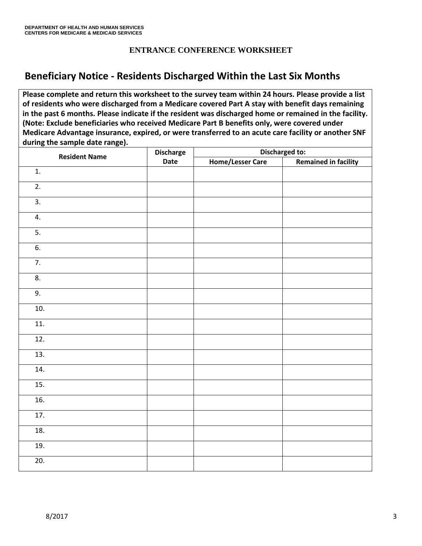### **ENTRANCE CONFERENCE WORKSHEET**

## **Beneficiary Notice - Residents Discharged Within the Last Six Months**

**Please complete and return this worksheet to the survey team within 24 hours. Please provide a list of residents who were discharged from a Medicare covered Part A stay with benefit days remaining in the past 6 months. Please indicate if the resident was discharged home or remained in the facility. (Note: Exclude beneficiaries who received Medicare Part B benefits only, were covered under Medicare Advantage insurance, expired, or were transferred to an acute care facility or another SNF during the sample date range).** 

| <b>Resident Name</b> | <b>Discharge</b><br>Date | Discharged to:          |                             |
|----------------------|--------------------------|-------------------------|-----------------------------|
|                      |                          | <b>Home/Lesser Care</b> | <b>Remained in facility</b> |
| 1.                   |                          |                         |                             |
| $\overline{2}$ .     |                          |                         |                             |
| $\overline{3}$ .     |                          |                         |                             |
| 4.                   |                          |                         |                             |
| $\overline{5}$ .     |                          |                         |                             |
| $\overline{6}$ .     |                          |                         |                             |
| $\overline{7}$ .     |                          |                         |                             |
| 8.                   |                          |                         |                             |
| 9.                   |                          |                         |                             |
| 10.                  |                          |                         |                             |
| 11.                  |                          |                         |                             |
| 12.                  |                          |                         |                             |
| 13.                  |                          |                         |                             |
| 14.                  |                          |                         |                             |
| 15.                  |                          |                         |                             |
| 16.                  |                          |                         |                             |
| 17.                  |                          |                         |                             |
| 18.                  |                          |                         |                             |
| 19.                  |                          |                         |                             |
| $\overline{20}$ .    |                          |                         |                             |